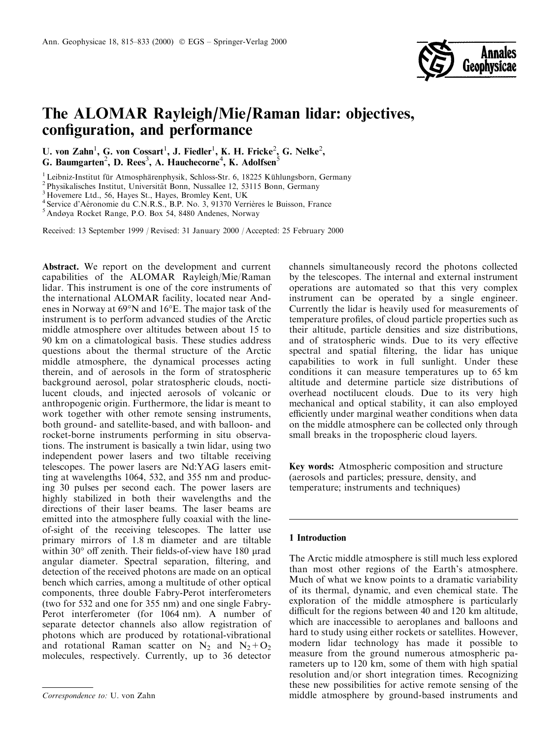

# The ALOMAR Rayleigh/Mie/Raman lidar: objectives, configuration, and performance

U. von Zahn<sup>1</sup>, G. von Cossart<sup>1</sup>, J. Fiedler<sup>1</sup>, K. H. Fricke<sup>2</sup>, G. Nelke<sup>2</sup>, G. Baumgarten<sup>2</sup>, D. Rees<sup>3</sup>, A. Hauchecorne<sup>4</sup>, K. Adolfsen<sup>5</sup>

<sup>1</sup> Leibniz-Institut für Atmosphärenphysik, Schloss-Str. 6, 18225 Kühlungsborn, Germany <sup>2</sup> Physikalisches Institut, Universität Bonn, Nussallee 12, 53115 Bonn, Germany <sup>3</sup> Hovemere Ltd., 56, Hayes St., Hayes, Bromley Ken

 $^4$ Service d'Aéronomie du C.N.R.S., B.P. No. 3, 91370 Verrières le Buisson, France $^5$ Andøya Rocket Range, P.O. Box 54, 8480 Andenes, Norway

Received: 13 September 1999 / Revised: 31 January 2000 / Accepted: 25 February 2000

Abstract. We report on the development and current capabilities of the ALOMAR Rayleigh/Mie/Raman lidar. This instrument is one of the core instruments of the international ALOMAR facility, located near Andenes in Norway at 69°N and 16°E. The major task of the instrument is to perform advanced studies of the Arctic middle atmosphere over altitudes between about 15 to 90 km on a climatological basis. These studies address questions about the thermal structure of the Arctic middle atmosphere, the dynamical processes acting therein, and of aerosols in the form of stratospheric background aerosol, polar stratospheric clouds, noctilucent clouds, and injected aerosols of volcanic or anthropogenic origin. Furthermore, the lidar is meant to work together with other remote sensing instruments, both ground- and satellite-based, and with balloon- and rocket-borne instruments performing in situ observations. The instrument is basically a twin lidar, using two independent power lasers and two tiltable receiving telescopes. The power lasers are Nd:YAG lasers emitting at wavelengths 1064, 532, and 355 nm and producing 30 pulses per second each. The power lasers are highly stabilized in both their wavelengths and the directions of their laser beams. The laser beams are emitted into the atmosphere fully coaxial with the lineof-sight of the receiving telescopes. The latter use primary mirrors of 1.8 m diameter and are tiltable within  $30^{\circ}$  off zenith. Their fields-of-view have 180  $\mu$ rad angular diameter. Spectral separation, filtering, and detection of the received photons are made on an optical bench which carries, among a multitude of other optical components, three double Fabry-Perot interferometers (two for 532 and one for 355 nm) and one single Fabry-Perot interferometer (for 1064 nm). A number of separate detector channels also allow registration of photons which are produced by rotational-vibrational and rotational Raman scatter on  $N_2$  and  $N_2+O_2$ molecules, respectively. Currently, up to 36 detector

channels simultaneously record the photons collected by the telescopes. The internal and external instrument operations are automated so that this very complex instrument can be operated by a single engineer. Currently the lidar is heavily used for measurements of temperature profiles, of cloud particle properties such as their altitude, particle densities and size distributions, and of stratospheric winds. Due to its very effective spectral and spatial filtering, the lidar has unique capabilities to work in full sunlight. Under these conditions it can measure temperatures up to 65 km altitude and determine particle size distributions of overhead noctilucent clouds. Due to its very high mechanical and optical stability, it can also employed efficiently under marginal weather conditions when data on the middle atmosphere can be collected only through small breaks in the tropospheric cloud layers.

Key words: Atmospheric composition and structure (aerosols and particles; pressure, density, and temperature; instruments and techniques)

# 1 Introduction

The Arctic middle atmosphere is still much less explored than most other regions of the Earth's atmosphere. Much of what we know points to a dramatic variability of its thermal, dynamic, and even chemical state. The exploration of the middle atmosphere is particularly difficult for the regions between 40 and 120 km altitude, which are inaccessible to aeroplanes and balloons and hard to study using either rockets or satellites. However, modern lidar technology has made it possible to measure from the ground numerous atmospheric parameters up to 120 km, some of them with high spatial resolution and/or short integration times. Recognizing these new possibilities for active remote sensing of the Correspondence to: U. von Zahn middle atmosphere by ground-based instruments and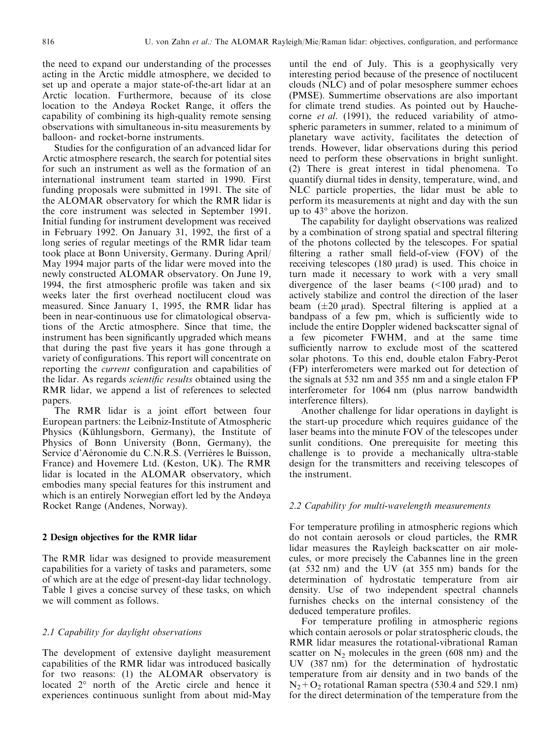the need to expand our understanding of the processes acting in the Arctic middle atmosphere, we decided to set up and operate a major state-of-the-art lidar at an Arctic location. Furthermore, because of its close location to the Andøya Rocket Range, it offers the capability of combining its high-quality remote sensing observations with simultaneous in-situ measurements by balloon- and rocket-borne instruments.

Studies for the configuration of an advanced lidar for Arctic atmosphere research, the search for potential sites for such an instrument as well as the formation of an international instrument team started in 1990. First funding proposals were submitted in 1991. The site of the ALOMAR observatory for which the RMR lidar is the core instrument was selected in September 1991. Initial funding for instrument development was received in February 1992. On January 31, 1992, the first of a long series of regular meetings of the RMR lidar team took place at Bonn University, Germany. During April/ May 1994 major parts of the lidar were moved into the newly constructed ALOMAR observatory. On June 19, 1994, the first atmospheric profile was taken and six weeks later the first overhead noctilucent cloud was measured. Since January 1, 1995, the RMR lidar has been in near-continuous use for climatological observations of the Arctic atmosphere. Since that time, the instrument has been significantly upgraded which means that during the past five years it has gone through a variety of configurations. This report will concentrate on reporting the *current* configuration and capabilities of the lidar. As regards *scientific results* obtained using the RMR lidar, we append a list of references to selected papers.

The RMR lidar is a joint effort between four European partners: the Leibniz-Institute of Atmospheric Physics (Kühlungsborn, Germany), the Institute of Physics of Bonn University (Bonn, Germany), the Service d'Aéronomie du C.N.R.S. (Verrières le Buisson, France) and Hovemere Ltd. (Keston, UK). The RMR lidar is located in the ALOMAR observatory, which embodies many special features for this instrument and which is an entirely Norwegian effort led by the Andøya Rocket Range (Andenes, Norway).

#### 2 Design objectives for the RMR lidar

The RMR lidar was designed to provide measurement capabilities for a variety of tasks and parameters, some of which are at the edge of present-day lidar technology. Table 1 gives a concise survey of these tasks, on which we will comment as follows.

## 2.1 Capability for daylight observations

The development of extensive daylight measurement capabilities of the RMR lidar was introduced basically for two reasons: (1) the ALOMAR observatory is located 2° north of the Arctic circle and hence it experiences continuous sunlight from about mid-May

until the end of July. This is a geophysically very interesting period because of the presence of noctilucent clouds (NLC) and of polar mesosphere summer echoes (PMSE). Summertime observations are also important for climate trend studies. As pointed out by Hauchecorne et al. (1991), the reduced variability of atmospheric parameters in summer, related to a minimum of planetary wave activity, facilitates the detection of trends. However, lidar observations during this period need to perform these observations in bright sunlight. (2) There is great interest in tidal phenomena. To quantify diurnal tides in density, temperature, wind, and NLC particle properties, the lidar must be able to perform its measurements at night and day with the sun up to 43° above the horizon.

The capability for daylight observations was realized by a combination of strong spatial and spectral filtering of the photons collected by the telescopes. For spatial filtering a rather small field-of-view (FOV) of the receiving telescopes  $(180 \text{ } \mu \text{rad})$  is used. This choice in turn made it necessary to work with a very small divergence of the laser beams  $($ <100  $\mu$ rad) and to actively stabilize and control the direction of the laser beam  $(\pm 20 \text{ grad})$ . Spectral filtering is applied at a bandpass of a few pm, which is sufficiently wide to include the entire Doppler widened backscatter signal of a few picometer FWHM, and at the same time sufficiently narrow to exclude most of the scattered solar photons. To this end, double etalon Fabry-Perot (FP) interferometers were marked out for detection of the signals at 532 nm and 355 nm and a single etalon FP interferometer for 1064 nm (plus narrow bandwidth interference filters).

Another challenge for lidar operations in daylight is the start-up procedure which requires guidance of the laser beams into the minute FOV of the telescopes under sunlit conditions. One prerequisite for meeting this challenge is to provide a mechanically ultra-stable design for the transmitters and receiving telescopes of the instrument.

## 2.2 Capability for multi-wavelength measurements

For temperature profiling in atmospheric regions which do not contain aerosols or cloud particles, the RMR lidar measures the Rayleigh backscatter on air molecules, or more precisely the Cabannes line in the green (at 532 nm) and the UV (at 355 nm) bands for the determination of hydrostatic temperature from air density. Use of two independent spectral channels furnishes checks on the internal consistency of the deduced temperature profiles.

For temperature profiling in atmospheric regions which contain aerosols or polar stratospheric clouds, the RMR lidar measures the rotational-vibrational Raman scatter on  $N_2$  molecules in the green (608 nm) and the UV (387 nm) for the determination of hydrostatic temperature from air density and in two bands of the  $N_2+O_2$  rotational Raman spectra (530.4 and 529.1 nm) for the direct determination of the temperature from the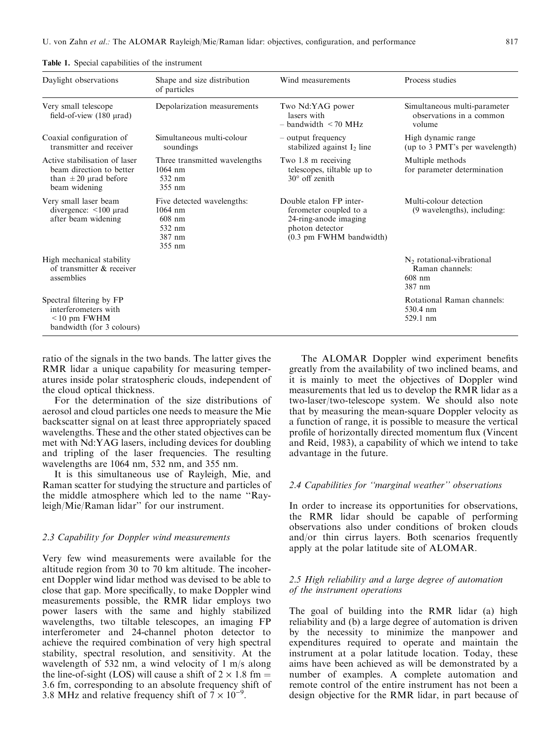| Daylight observations                                                                                   | Shape and size distribution<br>of particles                                       | Wind measurements                                                                                                        | Process studies                                                      |
|---------------------------------------------------------------------------------------------------------|-----------------------------------------------------------------------------------|--------------------------------------------------------------------------------------------------------------------------|----------------------------------------------------------------------|
| Very small telescope<br>field-of-view $(180 \text{ } \mu \text{rad})$                                   | Depolarization measurements                                                       | Two Nd:YAG power<br>lasers with<br>$-$ bandwidth $\leq$ 70 MHz                                                           | Simultaneous multi-parameter<br>observations in a common<br>volume   |
| Coaxial configuration of<br>transmitter and receiver                                                    | Simultaneous multi-colour<br>soundings                                            | - output frequency<br>stabilized against $I_2$ line                                                                      | High dynamic range<br>(up to 3 PMT's per wavelength)                 |
| Active stabilisation of laser<br>beam direction to better<br>than $\pm 20$ µrad before<br>beam widening | Three transmitted wavelengths<br>$1064$ nm<br>532 nm<br>355 nm                    | Two 1.8 m receiving<br>telescopes, tiltable up to<br>$30^{\circ}$ off zenith                                             | Multiple methods<br>for parameter determination                      |
| Very small laser beam<br>divergence: $\leq 100$ µrad<br>after beam widening                             | Five detected wavelengths:<br>$1064$ nm<br>$608$ nm<br>532 nm<br>387 nm<br>355 nm | Double etalon FP inter-<br>ferometer coupled to a<br>24-ring-anode imaging<br>photon detector<br>(0.3 pm FWHM bandwidth) | Multi-colour detection<br>(9 wavelengths), including:                |
| High mechanical stability<br>of transmitter & receiver<br>assemblies                                    |                                                                                   |                                                                                                                          | $N2$ rotational-vibrational<br>Raman channels:<br>$608$ nm<br>387 nm |
| Spectral filtering by FP<br>interferometers with<br>$\leq 10$ pm FWHM<br>bandwidth (for 3 colours)      |                                                                                   |                                                                                                                          | Rotational Raman channels:<br>530.4 nm<br>529.1 nm                   |

Table 1. Special capabilities of the instrument

ratio of the signals in the two bands. The latter gives the RMR lidar a unique capability for measuring temperatures inside polar stratospheric clouds, independent of the cloud optical thickness.

For the determination of the size distributions of aerosol and cloud particles one needs to measure the Mie backscatter signal on at least three appropriately spaced wavelengths. These and the other stated objectives can be met with Nd:YAG lasers, including devices for doubling and tripling of the laser frequencies. The resulting wavelengths are 1064 nm, 532 nm, and 355 nm.

It is this simultaneous use of Rayleigh, Mie, and Raman scatter for studying the structure and particles of the middle atmosphere which led to the name "Rayleigh/Mie/Raman lidar'' for our instrument.

#### 2.3 Capability for Doppler wind measurements

Very few wind measurements were available for the altitude region from 30 to 70 km altitude. The incoherent Doppler wind lidar method was devised to be able to close that gap. More specifically, to make Doppler wind measurements possible, the RMR lidar employs two power lasers with the same and highly stabilized wavelengths, two tiltable telescopes, an imaging FP interferometer and 24-channel photon detector to achieve the required combination of very high spectral stability, spectral resolution, and sensitivity. At the wavelength of 532 nm, a wind velocity of 1 m/s along the line-of-sight (LOS) will cause a shift of  $2 \times 1.8$  fm = 3.6 fm, corresponding to an absolute frequency shift of 3.8 MHz and relative frequency shift of  $\overline{7} \times 10^{-9}$ .

The ALOMAR Doppler wind experiment benefits greatly from the availability of two inclined beams, and it is mainly to meet the objectives of Doppler wind measurements that led us to develop the RMR lidar as a two-laser/two-telescope system. We should also note that by measuring the mean-square Doppler velocity as a function of range, it is possible to measure the vertical profile of horizontally directed momentum flux (Vincent and Reid, 1983), a capability of which we intend to take advantage in the future.

#### 2.4 Capabilities for "marginal weather" observations

In order to increase its opportunities for observations, the RMR lidar should be capable of performing observations also under conditions of broken clouds and/or thin cirrus layers. Both scenarios frequently apply at the polar latitude site of ALOMAR.

# 2.5 High reliability and a large degree of automation of the instrument operations

The goal of building into the RMR lidar (a) high reliability and (b) a large degree of automation is driven by the necessity to minimize the manpower and expenditures required to operate and maintain the instrument at a polar latitude location. Today, these aims have been achieved as will be demonstrated by a number of examples. A complete automation and remote control of the entire instrument has not been a design objective for the RMR lidar, in part because of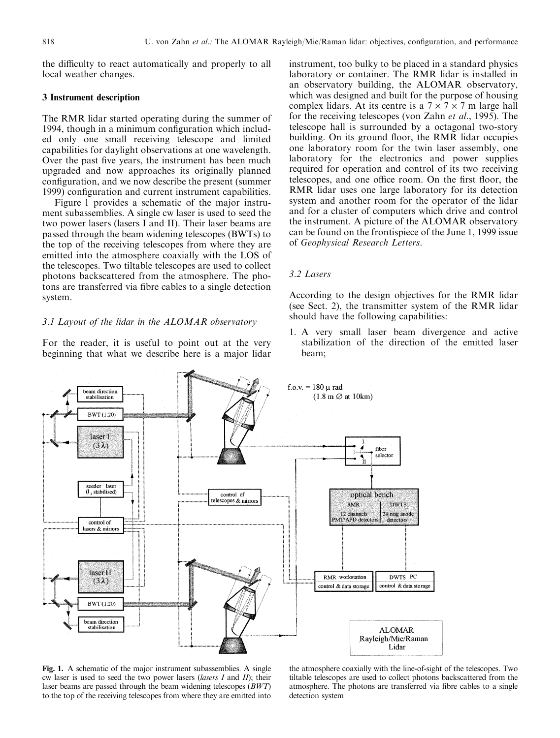the difficulty to react automatically and properly to all local weather changes.

### 3 Instrument description

The RMR lidar started operating during the summer of 1994, though in a minimum configuration which included only one small receiving telescope and limited capabilities for daylight observations at one wavelength. Over the past five years, the instrument has been much upgraded and now approaches its originally planned configuration, and we now describe the present (summer 1999) configuration and current instrument capabilities.

Figure 1 provides a schematic of the major instrument subassemblies. A single cw laser is used to seed the two power lasers (lasers I and II). Their laser beams are passed through the beam widening telescopes (BWTs) to the top of the receiving telescopes from where they are emitted into the atmosphere coaxially with the LOS of the telescopes. Two tiltable telescopes are used to collect photons backscattered from the atmosphere. The photons are transferred via fibre cables to a single detection system.

#### 3.1 Layout of the lidar in the ALOMAR observatory

For the reader, it is useful to point out at the very beginning that what we describe here is a major lidar instrument, too bulky to be placed in a standard physics laboratory or container. The RMR lidar is installed in an observatory building, the ALOMAR observatory, which was designed and built for the purpose of housing complex lidars. At its centre is a  $7 \times 7 \times 7$  m large hall for the receiving telescopes (von Zahn et al., 1995). The telescope hall is surrounded by a octagonal two-story building. On its ground floor, the RMR lidar occupies one laboratory room for the twin laser assembly, one laboratory for the electronics and power supplies required for operation and control of its two receiving telescopes, and one office room. On the first floor, the RMR lidar uses one large laboratory for its detection system and another room for the operator of the lidar and for a cluster of computers which drive and control the instrument. A picture of the ALOMAR observatory can be found on the frontispiece of the June 1, 1999 issue of Geophysical Research Letters.

## 3.2 Lasers

According to the design objectives for the RMR lidar (see Sect. 2), the transmitter system of the RMR lidar should have the following capabilities:

1. A very small laser beam divergence and active stabilization of the direction of the emitted laser beam;



Fig. 1. A schematic of the major instrument subassemblies. A single cw laser is used to seed the two power lasers (lasers  $I$  and  $II$ ); their laser beams are passed through the beam widening telescopes (BWT) to the top of the receiving telescopes from where they are emitted into

the atmosphere coaxially with the line-of-sight of the telescopes. Two tiltable telescopes are used to collect photons backscattered from the atmosphere. The photons are transferred via fibre cables to a single detection system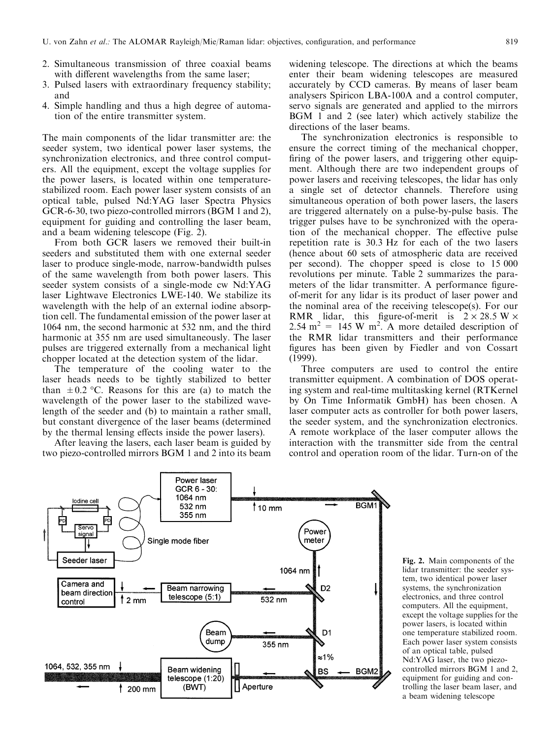- 2. Simultaneous transmission of three coaxial beams with different wavelengths from the same laser;
- 3. Pulsed lasers with extraordinary frequency stability; and
- 4. Simple handling and thus a high degree of automation of the entire transmitter system.

The main components of the lidar transmitter are: the seeder system, two identical power laser systems, the synchronization electronics, and three control computers. All the equipment, except the voltage supplies for the power lasers, is located within one temperaturestabilized room. Each power laser system consists of an optical table, pulsed Nd:YAG laser Spectra Physics GCR-6-30, two piezo-controlled mirrors (BGM 1 and 2), equipment for guiding and controlling the laser beam, and a beam widening telescope (Fig. 2).

From both GCR lasers we removed their built-in seeders and substituted them with one external seeder laser to produce single-mode, narrow-bandwidth pulses of the same wavelength from both power lasers. This seeder system consists of a single-mode cw Nd:YAG laser Lightwave Electronics LWE-140. We stabilize its wavelength with the help of an external iodine absorption cell. The fundamental emission of the power laser at 1064 nm, the second harmonic at 532 nm, and the third harmonic at 355 nm are used simultaneously. The laser pulses are triggered externally from a mechanical light chopper located at the detection system of the lidar.

The temperature of the cooling water to the laser heads needs to be tightly stabilized to better than  $\pm 0.2$  °C. Reasons for this are (a) to match the wavelength of the power laser to the stabilized wavelength of the seeder and (b) to maintain a rather small, but constant divergence of the laser beams (determined by the thermal lensing effects inside the power lasers).

After leaving the lasers, each laser beam is guided by two piezo-controlled mirrors BGM 1 and 2 into its beam widening telescope. The directions at which the beams enter their beam widening telescopes are measured accurately by CCD cameras. By means of laser beam analysers Spiricon LBA-100A and a control computer, servo signals are generated and applied to the mirrors BGM 1 and 2 (see later) which actively stabilize the directions of the laser beams.

The synchronization electronics is responsible to ensure the correct timing of the mechanical chopper, firing of the power lasers, and triggering other equipment. Although there are two independent groups of power lasers and receiving telescopes, the lidar has only a single set of detector channels. Therefore using simultaneous operation of both power lasers, the lasers are triggered alternately on a pulse-by-pulse basis. The trigger pulses have to be synchronized with the operation of the mechanical chopper. The effective pulse repetition rate is 30.3 Hz for each of the two lasers (hence about 60 sets of atmospheric data are received per second). The chopper speed is close to 15 000 revolutions per minute. Table 2 summarizes the parameters of the lidar transmitter. A performance figureof-merit for any lidar is its product of laser power and the nominal area of the receiving telescope(s). For our RMR lidar, this figure-of-merit is  $2 \times 28.5 W \times$ 2.54 m<sup>2</sup> = 145 W m<sup>2</sup>. A more detailed description of the RMR lidar transmitters and their performance figures has been given by Fiedler and von Cossart (1999).

Three computers are used to control the entire transmitter equipment. A combination of DOS operating system and real-time multitasking kernel (RTKernel by On Time Informatik GmbH) has been chosen. A laser computer acts as controller for both power lasers, the seeder system, and the synchronization electronics. A remote workplace of the laser computer allows the interaction with the transmitter side from the central control and operation room of the lidar. Turn-on of the



Fig. 2. Main components of the lidar transmitter: the seeder system, two identical power laser systems, the synchronization electronics, and three control computers. All the equipment, except the voltage supplies for the power lasers, is located within one temperature stabilized room. Each power laser system consists of an optical table, pulsed Nd:YAG laser, the two piezocontrolled mirrors BGM 1 and 2, equipment for guiding and controlling the laser beam laser, and a beam widening telescope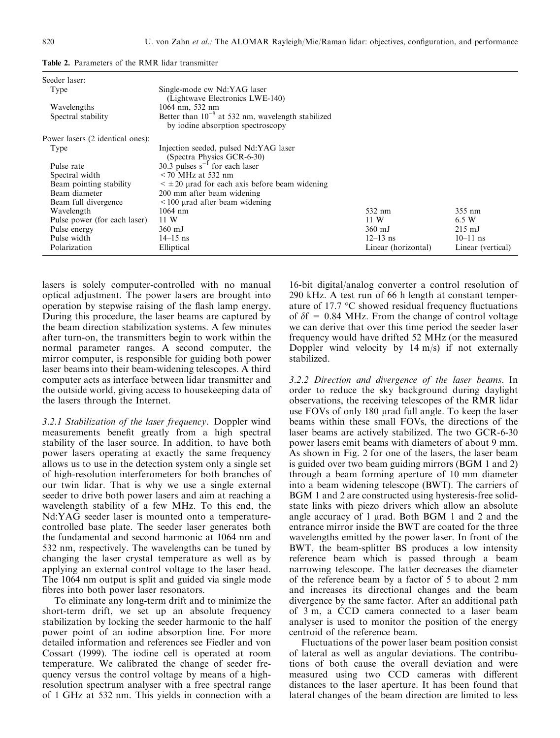| Seeder laser:                    |                                                                                             |                     |                   |
|----------------------------------|---------------------------------------------------------------------------------------------|---------------------|-------------------|
| Type                             | Single-mode cw Nd:YAG laser<br>(Lightwave Electronics LWE-140)                              |                     |                   |
| Wavelengths                      | $1064$ nm, 532 nm                                                                           |                     |                   |
| Spectral stability               | Better than $10^{-8}$ at 532 nm, wavelength stabilized<br>by iodine absorption spectroscopy |                     |                   |
| Power lasers (2 identical ones): |                                                                                             |                     |                   |
| Type                             | Injection seeded, pulsed Nd:YAG laser<br>(Spectra Physics GCR-6-30)                         |                     |                   |
| Pulse rate                       | 30.3 pulses $s^{-1}$ for each laser                                                         |                     |                   |
| Spectral width                   | $<$ 70 MHz at 532 nm                                                                        |                     |                   |
| Beam pointing stability          | $\leq \pm 20$ µrad for each axis before beam widening                                       |                     |                   |
| Beam diameter                    | 200 mm after beam widening                                                                  |                     |                   |
| Beam full divergence             | $\leq$ 100 urad after beam widening                                                         |                     |                   |
| Wavelength                       | $1064$ nm                                                                                   | 532 nm              | 355 nm            |
| Pulse power (for each laser)     | 11 W                                                                                        | 11 W                | 6.5 W             |
| Pulse energy                     | $360$ mJ                                                                                    | $360$ mJ            | $215 \text{ mJ}$  |
| Pulse width                      | $14 - 15$ ns                                                                                | $12 - 13$ ns        | $10 - 11$ ns      |
| Polarization                     | Elliptical                                                                                  | Linear (horizontal) | Linear (vertical) |

Table 2. Parameters of the RMR lidar transmitter

lasers is solely computer-controlled with no manual optical adjustment. The power lasers are brought into operation by stepwise raising of the flash lamp energy. During this procedure, the laser beams are captured by the beam direction stabilization systems. A few minutes after turn-on, the transmitters begin to work within the normal parameter ranges. A second computer, the mirror computer, is responsible for guiding both power laser beams into their beam-widening telescopes. A third computer acts as interface between lidar transmitter and the outside world, giving access to housekeeping data of the lasers through the Internet.

3.2.1 Stabilization of the laser frequency. Doppler wind measurements benefit greatly from a high spectral stability of the laser source. In addition, to have both power lasers operating at exactly the same frequency allows us to use in the detection system only a single set of high-resolution interferometers for both branches of our twin lidar. That is why we use a single external seeder to drive both power lasers and aim at reaching a wavelength stability of a few MHz. To this end, the Nd:YAG seeder laser is mounted onto a temperaturecontrolled base plate. The seeder laser generates both the fundamental and second harmonic at 1064 nm and 532 nm, respectively. The wavelengths can be tuned by changing the laser crystal temperature as well as by applying an external control voltage to the laser head. The 1064 nm output is split and guided via single mode fibres into both power laser resonators.

To eliminate any long-term drift and to minimize the short-term drift, we set up an absolute frequency stabilization by locking the seeder harmonic to the half power point of an iodine absorption line. For more detailed information and references see Fiedler and von Cossart (1999). The iodine cell is operated at room temperature. We calibrated the change of seeder frequency versus the control voltage by means of a highresolution spectrum analyser with a free spectral range of 1 GHz at 532 nm. This yields in connection with a

16-bit digital/analog converter a control resolution of 290 kHz. A test run of 66 h length at constant temperature of 17.7  $\mathrm{C}$  showed residual frequency fluctuations of  $\delta f = 0.84$  MHz. From the change of control voltage we can derive that over this time period the seeder laser frequency would have drifted 52 MHz (or the measured Doppler wind velocity by  $14 \text{ m/s}$  if not externally stabilized.

3.2.2 Direction and divergence of the laser beams. In order to reduce the sky background during daylight observations, the receiving telescopes of the RMR lidar use FOVs of only 180 µrad full angle. To keep the laser beams within these small FOVs, the directions of the laser beams are actively stabilized. The two GCR-6-30 power lasers emit beams with diameters of about 9 mm. As shown in Fig. 2 for one of the lasers, the laser beam is guided over two beam guiding mirrors (BGM 1 and 2) through a beam forming aperture of 10 mm diameter into a beam widening telescope (BWT). The carriers of BGM 1 and 2 are constructed using hysteresis-free solidstate links with piezo drivers which allow an absolute angle accuracy of  $1 \mu$ rad. Both BGM  $1 \mu$  and  $2 \mu$  and the entrance mirror inside the BWT are coated for the three wavelengths emitted by the power laser. In front of the BWT, the beam-splitter BS produces a low intensity reference beam which is passed through a beam narrowing telescope. The latter decreases the diameter of the reference beam by a factor of 5 to about 2 mm and increases its directional changes and the beam divergence by the same factor. After an additional path of 3 m, a CCD camera connected to a laser beam analyser is used to monitor the position of the energy centroid of the reference beam.

Fluctuations of the power laser beam position consist of lateral as well as angular deviations. The contributions of both cause the overall deviation and were measured using two CCD cameras with different distances to the laser aperture. It has been found that lateral changes of the beam direction are limited to less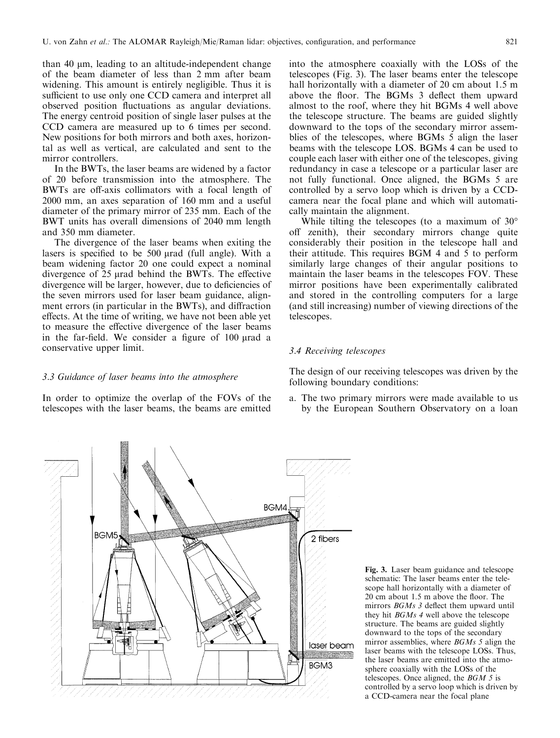than 40  $\mu$ m, leading to an altitude-independent change of the beam diameter of less than 2 mm after beam widening. This amount is entirely negligible. Thus it is sufficient to use only one CCD camera and interpret all observed position fluctuations as angular deviations. The energy centroid position of single laser pulses at the CCD camera are measured up to 6 times per second. New positions for both mirrors and both axes, horizontal as well as vertical, are calculated and sent to the mirror controllers.

In the BWTs, the laser beams are widened by a factor of 20 before transmission into the atmosphere. The BWTs are off-axis collimators with a focal length of 2000 mm, an axes separation of 160 mm and a useful diameter of the primary mirror of 235 mm. Each of the BWT units has overall dimensions of 2040 mm length and 350 mm diameter.

The divergence of the laser beams when exiting the lasers is specified to be  $500 \mu$ rad (full angle). With a beam widening factor 20 one could expect a nominal divergence of  $25 \mu$ rad behind the BWTs. The effective divergence will be larger, however, due to deficiencies of the seven mirrors used for laser beam guidance, alignment errors (in particular in the BWTs), and diffraction effects. At the time of writing, we have not been able yet to measure the effective divergence of the laser beams in the far-field. We consider a figure of  $100 \mu$ rad a conservative upper limit.

into the atmosphere coaxially with the LOSs of the telescopes (Fig. 3). The laser beams enter the telescope hall horizontally with a diameter of 20 cm about 1.5 m above the floor. The BGMs 3 deflect them upward almost to the roof, where they hit BGMs 4 well above the telescope structure. The beams are guided slightly downward to the tops of the secondary mirror assemblies of the telescopes, where BGMs 5 align the laser beams with the telescope LOS. BGMs 4 can be used to couple each laser with either one of the telescopes, giving redundancy in case a telescope or a particular laser are not fully functional. Once aligned, the BGMs 5 are controlled by a servo loop which is driven by a CCDcamera near the focal plane and which will automatically maintain the alignment.

While tilting the telescopes (to a maximum of 30° off zenith), their secondary mirrors change quite considerably their position in the telescope hall and their attitude. This requires BGM 4 and 5 to perform similarly large changes of their angular positions to maintain the laser beams in the telescopes FOV. These mirror positions have been experimentally calibrated and stored in the controlling computers for a large (and still increasing) number of viewing directions of the telescopes.

## 3.4 Receiving telescopes

The design of our receiving telescopes was driven by the following boundary conditions:

a. The two primary mirrors were made available to us by the European Southern Observatory on a loan





# 3.3 Guidance of laser beams into the atmosphere

In order to optimize the overlap of the FOVs of the telescopes with the laser beams, the beams are emitted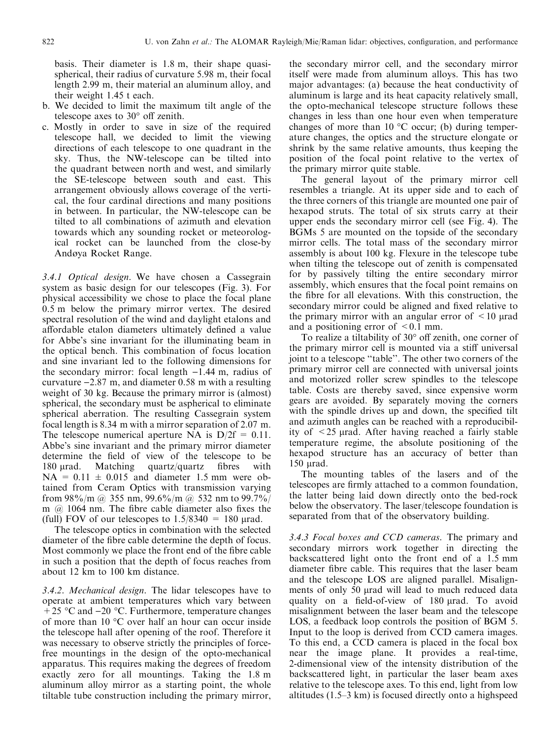basis. Their diameter is 1.8 m, their shape quasispherical, their radius of curvature 5.98 m, their focal length 2.99 m, their material an aluminum alloy, and their weight 1.45 t each.

- b. We decided to limit the maximum tilt angle of the telescope axes to  $30^{\circ}$  off zenith.
- c. Mostly in order to save in size of the required telescope hall, we decided to limit the viewing directions of each telescope to one quadrant in the sky. Thus, the NW-telescope can be tilted into the quadrant between north and west, and similarly the SE-telescope between south and east. This arrangement obviously allows coverage of the vertical, the four cardinal directions and many positions in between. In particular, the NW-telescope can be tilted to all combinations of azimuth and elevation towards which any sounding rocket or meteorological rocket can be launched from the close-by Andøya Rocket Range.

3.4.1 Optical design. We have chosen a Cassegrain system as basic design for our telescopes (Fig. 3). For physical accessibility we chose to place the focal plane 0.5 m below the primary mirror vertex. The desired spectral resolution of the wind and daylight etalons and affordable etalon diameters ultimately defined a value for Abbe's sine invariant for the illuminating beam in the optical bench. This combination of focus location and sine invariant led to the following dimensions for the secondary mirror: focal length  $-1.44$  m, radius of curvature  $-2.87$  m, and diameter 0.58 m with a resulting weight of 30 kg. Because the primary mirror is (almost) spherical, the secondary must be aspherical to eliminate spherical aberration. The resulting Cassegrain system focal length is 8.34 m with a mirror separation of 2.07 m. The telescope numerical aperture NA is  $D/2f = 0.11$ . Abbe's sine invariant and the primary mirror diameter determine the field of view of the telescope to be 180  $\mu$ rad. Matching quartz/quartz fibres with  $NA = 0.11 \pm 0.015$  and diameter 1.5 mm were obtained from Ceram Optics with transmission varying from  $98\%$ /m @ 355 nm,  $99.6\%$ /m @ 532 nm to  $99.7\%$ / m  $\omega$  1064 nm. The fibre cable diameter also fixes the (full) FOV of our telescopes to  $1.5/8340 = 180$  µrad.

The telescope optics in combination with the selected diameter of the fibre cable determine the depth of focus. Most commonly we place the front end of the fibre cable in such a position that the depth of focus reaches from about 12 km to 100 km distance.

3.4.2. Mechanical design. The lidar telescopes have to operate at ambient temperatures which vary between  $+25$  °C and  $-20$  °C. Furthermore, temperature changes of more than 10 °C over half an hour can occur inside the telescope hall after opening of the roof. Therefore it was necessary to observe strictly the principles of forcefree mountings in the design of the opto-mechanical apparatus. This requires making the degrees of freedom exactly zero for all mountings. Taking the 1.8 m aluminum alloy mirror as a starting point, the whole tiltable tube construction including the primary mirror,

the secondary mirror cell, and the secondary mirror itself were made from aluminum alloys. This has two major advantages: (a) because the heat conductivity of aluminum is large and its heat capacity relatively small, the opto-mechanical telescope structure follows these changes in less than one hour even when temperature changes of more than  $10^{\circ}$ C occur; (b) during temperature changes, the optics and the structure elongate or shrink by the same relative amounts, thus keeping the position of the focal point relative to the vertex of the primary mirror quite stable.

The general layout of the primary mirror cell resembles a triangle. At its upper side and to each of the three corners of this triangle are mounted one pair of hexapod struts. The total of six struts carry at their upper ends the secondary mirror cell (see Fig. 4). The BGMs 5 are mounted on the topside of the secondary mirror cells. The total mass of the secondary mirror assembly is about 100 kg. Flexure in the telescope tube when tilting the telescope out of zenith is compensated for by passively tilting the entire secondary mirror assembly, which ensures that the focal point remains on the fibre for all elevations. With this construction, the secondary mirror could be aligned and fixed relative to the primary mirror with an angular error of  $\leq 10$  urad and a positioning error of  $\leq 0.1$  mm.

To realize a tiltability of  $30^{\circ}$  off zenith, one corner of the primary mirror cell is mounted via a stiff universal joint to a telescope "table". The other two corners of the primary mirror cell are connected with universal joints and motorized roller screw spindles to the telescope table. Costs are thereby saved, since expensive worm gears are avoided. By separately moving the corners with the spindle drives up and down, the specified tilt and azimuth angles can be reached with a reproducibility of  $\leq$  25 µrad. After having reached a fairly stable temperature regime, the absolute positioning of the hexapod structure has an accuracy of better than 150 urad.

The mounting tables of the lasers and of the telescopes are firmly attached to a common foundation, the latter being laid down directly onto the bed-rock below the observatory. The laser/telescope foundation is separated from that of the observatory building.

3.4.3 Focal boxes and CCD cameras. The primary and secondary mirrors work together in directing the backscattered light onto the front end of a 1.5 mm diameter fibre cable. This requires that the laser beam and the telescope LOS are aligned parallel. Misalignments of only 50 µrad will lead to much reduced data quality on a field-of-view of 180 µrad. To avoid misalignment between the laser beam and the telescope LOS, a feedback loop controls the position of BGM 5. Input to the loop is derived from CCD camera images. To this end, a CCD camera is placed in the focal box near the image plane. It provides a real-time, 2-dimensional view of the intensity distribution of the backscattered light, in particular the laser beam axes relative to the telescope axes. To this end, light from low altitudes  $(1.5-3 \text{ km})$  is focused directly onto a highspeed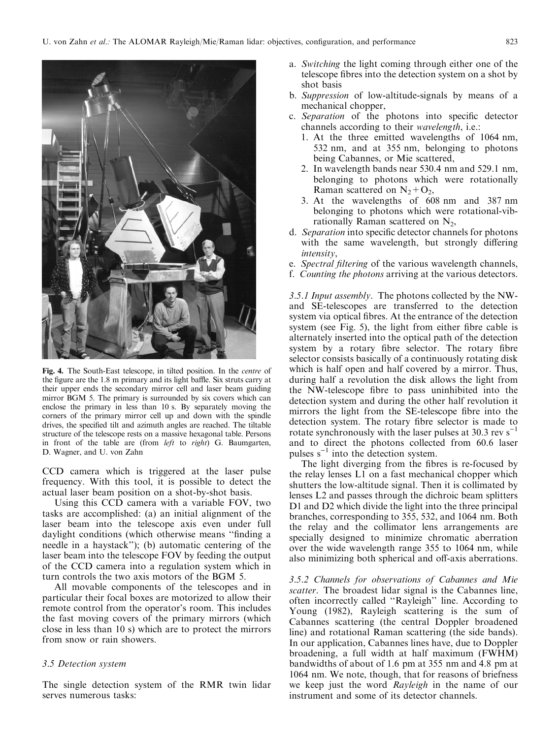

Fig. 4. The South-East telescope, in tilted position. In the centre of the figure are the 1.8 m primary and its light baffle. Six struts carry at their upper ends the secondary mirror cell and laser beam guiding mirror BGM 5. The primary is surrounded by six covers which can enclose the primary in less than 10 s. By separately moving the corners of the primary mirror cell up and down with the spindle drives, the specified tilt and azimuth angles are reached. The tiltable structure of the telescope rests on a massive hexagonal table. Persons in front of the table are (from left to right) G. Baumgarten, D. Wagner, and U. von Zahn

CCD camera which is triggered at the laser pulse frequency. With this tool, it is possible to detect the actual laser beam position on a shot-by-shot basis.

Using this CCD camera with a variable FOV, two tasks are accomplished: (a) an initial alignment of the laser beam into the telescope axis even under full daylight conditions (which otherwise means "finding a needle in a haystack''); (b) automatic centering of the laser beam into the telescope FOV by feeding the output of the CCD camera into a regulation system which in turn controls the two axis motors of the BGM 5.

All movable components of the telescopes and in particular their focal boxes are motorized to allow their remote control from the operator's room. This includes the fast moving covers of the primary mirrors (which close in less than 10 s) which are to protect the mirrors from snow or rain showers.

#### 3.5 Detection system

The single detection system of the RMR twin lidar serves numerous tasks:

- a. Switching the light coming through either one of the telescope fibres into the detection system on a shot by shot basis
- b. Suppression of low-altitude-signals by means of a mechanical chopper,
- c. Separation of the photons into specific detector channels according to their wavelength, i.e.:
	- 1. At the three emitted wavelengths of 1064 nm, 532 nm, and at 355 nm, belonging to photons being Cabannes, or Mie scattered,
	- 2. In wavelength bands near 530.4 nm and 529.1 nm, belonging to photons which were rotationally Raman scattered on  $N_2 + O_2$ ,
	- 3. At the wavelengths of 608 nm and 387 nm belonging to photons which were rotational-vibrationally Raman scattered on  $N_2$ ,
- d. Separation into specific detector channels for photons with the same wavelength, but strongly differing intensity,
- e. Spectral filtering of the various wavelength channels,
- f. Counting the photons arriving at the various detectors.

3.5.1 Input assembly. The photons collected by the NWand SE-telescopes are transferred to the detection system via optical fibres. At the entrance of the detection system (see Fig. 5), the light from either fibre cable is alternately inserted into the optical path of the detection system by a rotary fibre selector. The rotary fibre selector consists basically of a continuously rotating disk which is half open and half covered by a mirror. Thus, during half a revolution the disk allows the light from the NW-telescope fibre to pass uninhibited into the detection system and during the other half revolution it mirrors the light from the SE-telescope fibre into the detection system. The rotary fibre selector is made to rotate synchronously with the laser pulses at 30.3 rev  $s^{-1}$ and to direct the photons collected from 60.6 laser pulses  $s^{-1}$  into the detection system.

The light diverging from the fibres is re-focused by the relay lenses L1 on a fast mechanical chopper which shutters the low-altitude signal. Then it is collimated by lenses L2 and passes through the dichroic beam splitters D1 and D2 which divide the light into the three principal branches, corresponding to 355, 532, and 1064 nm. Both the relay and the collimator lens arrangements are specially designed to minimize chromatic aberration over the wide wavelength range 355 to 1064 nm, while also minimizing both spherical and off-axis aberrations.

3.5.2 Channels for observations of Cabannes and Mie scatter. The broadest lidar signal is the Cabannes line, often incorrectly called "Rayleigh" line. According to Young (1982), Rayleigh scattering is the sum of Cabannes scattering (the central Doppler broadened line) and rotational Raman scattering (the side bands). In our application, Cabannes lines have, due to Doppler broadening, a full width at half maximum (FWHM) bandwidths of about of 1.6 pm at 355 nm and 4.8 pm at 1064 nm. We note, though, that for reasons of briefness we keep just the word Rayleigh in the name of our instrument and some of its detector channels.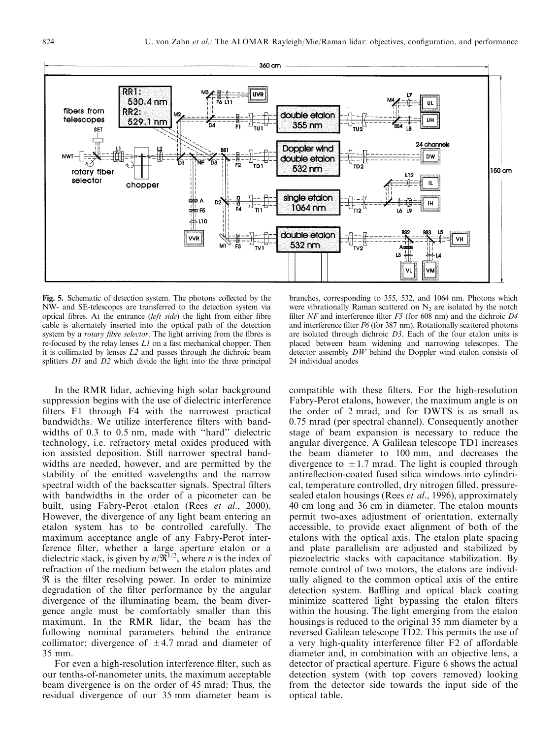

Fig. 5. Schematic of detection system. The photons collected by the NW- and SE-telescopes are transferred to the detection system via optical fibres. At the entrance (left side) the light from either fibre cable is alternately inserted into the optical path of the detection system by a *rotary fibre selector*. The light arriving from the fibres is re-focused by the relay lenses L1 on a fast mechanical chopper. Then it is collimated by lenses L2 and passes through the dichroic beam splitters  $DI$  and  $D2$  which divide the light into the three principal

In the RMR lidar, achieving high solar background suppression begins with the use of dielectric interference filters F1 through F4 with the narrowest practical bandwidths. We utilize interference filters with bandwidths of 0.3 to 0.5 nm, made with "hard" dielectric technology, i.e. refractory metal oxides produced with ion assisted deposition. Still narrower spectral bandwidths are needed, however, and are permitted by the stability of the emitted wavelengths and the narrow spectral width of the backscatter signals. Spectral filters with bandwidths in the order of a picometer can be built, using Fabry-Perot etalon (Rees et al., 2000). However, the divergence of any light beam entering an etalon system has to be controlled carefully. The maximum acceptance angle of any Fabry-Perot interference filter, whether a large aperture etalon or a dielectric stack, is given by  $n/\mathfrak{R}^{1/2}$ , where *n* is the index of refraction of the medium between the etalon plates and  $\Re$  is the filter resolving power. In order to minimize degradation of the filter performance by the angular divergence of the illuminating beam, the beam divergence angle must be comfortably smaller than this maximum. In the RMR lidar, the beam has the following nominal parameters behind the entrance collimator: divergence of  $\pm$ 4.7 mrad and diameter of 35 mm.

For even a high-resolution interference filter, such as our tenths-of-nanometer units, the maximum acceptable beam divergence is on the order of 45 mrad: Thus, the residual divergence of our 35 mm diameter beam is

branches, corresponding to 355, 532, and 1064 nm. Photons which were vibrationally Raman scattered on  $N_2$  are isolated by the notch filter NF and interference filter  $F5$  (for 608 nm) and the dichroic  $D4$ and interference filter  $F6$  (for 387 nm). Rotationally scattered photons are isolated through dichroic D3. Each of the four etalon units is placed between beam widening and narrowing telescopes. The detector assembly  $DW$  behind the Doppler wind etalon consists of 24 individual anodes

compatible with these filters. For the high-resolution Fabry-Perot etalons, however, the maximum angle is on the order of 2 mrad, and for DWTS is as small as 0.75 mrad (per spectral channel). Consequently another stage of beam expansion is necessary to reduce the angular divergence. A Galilean telescope TD1 increases the beam diameter to 100 mm, and decreases the divergence to  $\pm 1.7$  mrad. The light is coupled through antireflection-coated fused silica windows into cylindrical, temperature controlled, dry nitrogen filled, pressuresealed etalon housings (Rees et al., 1996), approximately 40 cm long and 36 cm in diameter. The etalon mounts permit two-axes adjustment of orientation, externally accessible, to provide exact alignment of both of the etalons with the optical axis. The etalon plate spacing and plate parallelism are adjusted and stabilized by piezoelectric stacks with capacitance stabilization. By remote control of two motors, the etalons are individually aligned to the common optical axis of the entire detection system. Baffling and optical black coating minimize scattered light bypassing the etalon filters within the housing. The light emerging from the etalon housings is reduced to the original 35 mm diameter by a reversed Galilean telescope TD2. This permits the use of a very high-quality interference filter F2 of affordable diameter and, in combination with an objective lens, a detector of practical aperture. Figure 6 shows the actual detection system (with top covers removed) looking from the detector side towards the input side of the optical table.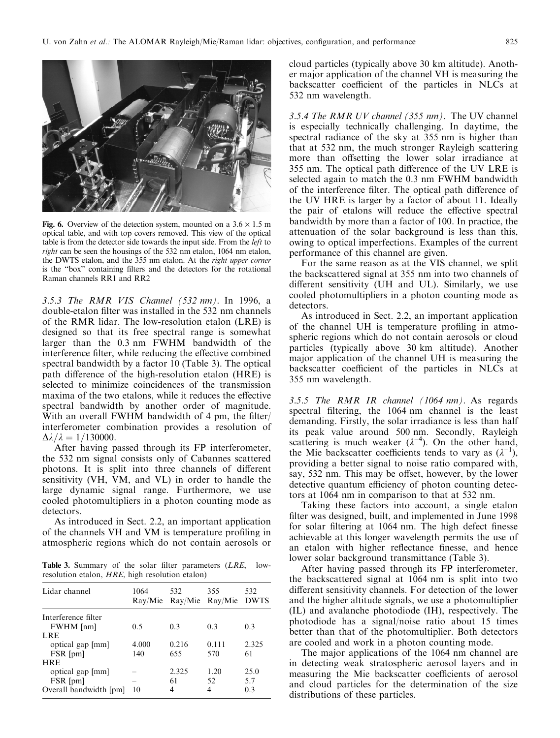

Fig. 6. Overview of the detection system, mounted on a  $3.6 \times 1.5$  m optical table, and with top covers removed. This view of the optical table is from the detector side towards the input side. From the left to right can be seen the housings of the 532 nm etalon, 1064 nm etalon, the DWTS etalon, and the 355 nm etalon. At the right upper corner is the "box" containing filters and the detectors for the rotational Raman channels RR1 and RR2

3.5.3 The RMR VIS Channel (532 nm). In 1996, a double-etalon filter was installed in the 532 nm channels of the RMR lidar. The low-resolution etalon (LRE) is designed so that its free spectral range is somewhat larger than the 0.3 nm FWHM bandwidth of the interference filter, while reducing the effective combined spectral bandwidth by a factor 10 (Table 3). The optical path difference of the high-resolution etalon (HRE) is selected to minimize coincidences of the transmission maxima of the two etalons, while it reduces the effective spectral bandwidth by another order of magnitude. With an overall FWHM bandwidth of 4 pm, the filter/ interferometer combination provides a resolution of  $\Delta\lambda/\lambda=1/130000$ .

After having passed through its FP interferometer, the 532 nm signal consists only of Cabannes scattered photons. It is split into three channels of different sensitivity (VH, VM, and VL) in order to handle the large dynamic signal range. Furthermore, we use cooled photomultipliers in a photon counting mode as detectors.

As introduced in Sect. 2.2, an important application of the channels VH and VM is temperature profiling in atmospheric regions which do not contain aerosols or

Table 3. Summary of the solar filter parameters (LRE, lowresolution etalon, HRE, high resolution etalon)

| Lidar channel          | 1064  | 532<br>Ray/Mie Ray/Mie Ray/Mie DWTS | 355   | 532   |
|------------------------|-------|-------------------------------------|-------|-------|
| Interference filter    |       |                                     |       |       |
| FWHM [nm]              | 0.5   | 0.3                                 | 0.3   | 0.3   |
| LRE                    |       |                                     |       |       |
| optical gap [mm]       | 4.000 | 0.216                               | 0.111 | 2.325 |
| FSR [pm]               | 140   | 655                                 | 570   | 61    |
| <b>HRE</b>             |       |                                     |       |       |
| optical gap [mm]       |       | 2.325                               | 1.20  | 25.0  |
| FSR [pm]               |       | 61                                  | 52    | 5.7   |
| Overall bandwidth [pm] | 10    | 4                                   | 4     | 0.3   |

cloud particles (typically above 30 km altitude). Another major application of the channel VH is measuring the backscatter coefficient of the particles in NLCs at 532 nm wavelength.

3.5.4 The RMR UV channel (355 nm). The UV channel is especially technically challenging. In daytime, the spectral radiance of the sky at 355 nm is higher than that at 532 nm, the much stronger Rayleigh scattering more than offsetting the lower solar irradiance at 355 nm. The optical path difference of the UV LRE is selected again to match the 0.3 nm FWHM bandwidth of the interference filter. The optical path difference of the UV HRE is larger by a factor of about 11. Ideally the pair of etalons will reduce the effective spectral bandwidth by more than a factor of 100. In practice, the attenuation of the solar background is less than this, owing to optical imperfections. Examples of the current performance of this channel are given.

For the same reason as at the VIS channel, we split the backscattered signal at 355 nm into two channels of different sensitivity (UH and UL). Similarly, we use cooled photomultipliers in a photon counting mode as detectors.

As introduced in Sect. 2.2, an important application of the channel UH is temperature profiling in atmospheric regions which do not contain aerosols or cloud particles (typically above 30 km altitude). Another major application of the channel UH is measuring the backscatter coefficient of the particles in NLCs at 355 nm wavelength.

3.5.5 The RMR IR channel (1064 nm). As regards spectral filtering, the 1064 nm channel is the least demanding. Firstly, the solar irradiance is less than half its peak value around 500 nm. Secondly, Rayleigh scattering is much weaker  $(\lambda^{-4})$ . On the other hand, the Mie backscatter coefficients tends to vary as  $(\lambda^{-1})$ , providing a better signal to noise ratio compared with, say, 532 nm. This may be offset, however, by the lower detective quantum efficiency of photon counting detectors at 1064 nm in comparison to that at 532 nm.

Taking these factors into account, a single etalon filter was designed, built, and implemented in June 1998 for solar filtering at 1064 nm. The high defect finesse achievable at this longer wavelength permits the use of an etalon with higher reflectance finesse, and hence lower solar background transmittance (Table 3).

After having passed through its FP interferometer, the backscattered signal at 1064 nm is split into two different sensitivity channels. For detection of the lower and the higher altitude signals, we use a photomultiplier (IL) and avalanche photodiode (IH), respectively. The photodiode has a signal/noise ratio about 15 times better than that of the photomultiplier. Both detectors are cooled and work in a photon counting mode.

The major applications of the 1064 nm channel are in detecting weak stratospheric aerosol layers and in measuring the Mie backscatter coefficients of aerosol and cloud particles for the determination of the size distributions of these particles.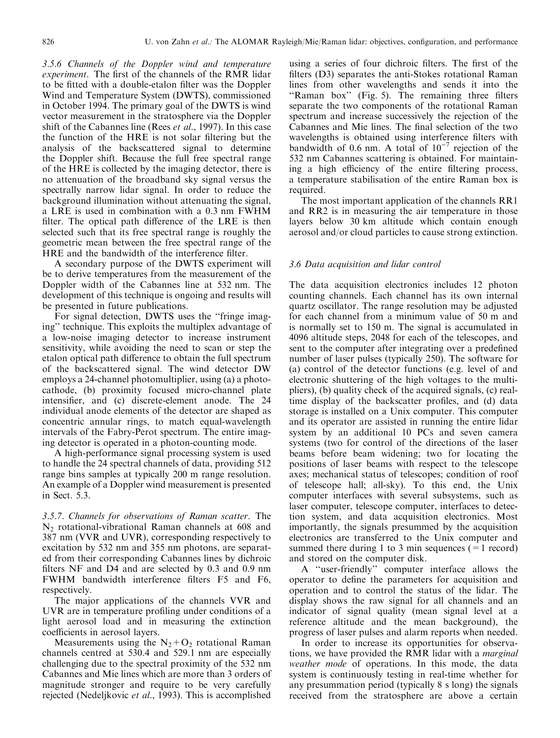3.5.6 Channels of the Doppler wind and temperature experiment. The first of the channels of the RMR lidar to be fitted with a double-etalon filter was the Doppler Wind and Temperature System (DWTS), commissioned in October 1994. The primary goal of the DWTS is wind vector measurement in the stratosphere via the Doppler shift of the Cabannes line (Rees *et al.*, 1997). In this case the function of the HRE is not solar filtering but the analysis of the backscattered signal to determine the Doppler shift. Because the full free spectral range of the HRE is collected by the imaging detector, there is no attenuation of the broadband sky signal versus the spectrally narrow lidar signal. In order to reduce the background illumination without attenuating the signal, a LRE is used in combination with a 0.3 nm FWHM filter. The optical path difference of the LRE is then selected such that its free spectral range is roughly the geometric mean between the free spectral range of the HRE and the bandwidth of the interference filter.

A secondary purpose of the DWTS experiment will be to derive temperatures from the measurement of the Doppler width of the Cabannes line at 532 nm. The development of this technique is ongoing and results will be presented in future publications.

For signal detection, DWTS uses the "fringe imaging'' technique. This exploits the multiplex advantage of a low-noise imaging detector to increase instrument sensitivity, while avoiding the need to scan or step the etalon optical path difference to obtain the full spectrum of the backscattered signal. The wind detector DW employs a 24-channel photomultiplier, using (a) a photocathode, (b) proximity focused micro-channel plate intensifier, and (c) discrete-element anode. The 24 individual anode elements of the detector are shaped as concentric annular rings, to match equal-wavelength intervals of the Fabry-Perot spectrum. The entire imaging detector is operated in a photon-counting mode.

A high-performance signal processing system is used to handle the 24 spectral channels of data, providing 512 range bins samples at typically 200 m range resolution. An example of a Doppler wind measurement is presented in Sect. 5.3.

3.5.7. Channels for observations of Raman scatter. The N2 rotational-vibrational Raman channels at 608 and 387 nm (VVR and UVR), corresponding respectively to excitation by 532 nm and 355 nm photons, are separated from their corresponding Cabannes lines by dichroic filters NF and D4 and are selected by 0.3 and 0.9 nm FWHM bandwidth interference filters F5 and F6, respectively.

The major applications of the channels VVR and UVR are in temperature profiling under conditions of a light aerosol load and in measuring the extinction coefficients in aerosol layers.

Measurements using the  $N_2 + O_2$  rotational Raman channels centred at 530.4 and 529.1 nm are especially challenging due to the spectral proximity of the 532 nm Cabannes and Mie lines which are more than 3 orders of magnitude stronger and require to be very carefully rejected (Nedeljkovic et al., 1993). This is accomplished

using a series of four dichroic filters. The first of the filters  $(D3)$  separates the anti-Stokes rotational Raman lines from other wavelengths and sends it into the "Raman box" (Fig. 5). The remaining three filters separate the two components of the rotational Raman spectrum and increase successively the rejection of the Cabannes and Mie lines. The final selection of the two wavelengths is obtained using interference filters with bandwidth of  $0.6$  nm. A total of  $10^{-7}$  rejection of the 532 nm Cabannes scattering is obtained. For maintaining a high efficiency of the entire filtering process, a temperature stabilisation of the entire Raman box is required.

The most important application of the channels RR1 and RR2 is in measuring the air temperature in those layers below 30 km altitude which contain enough aerosol and/or cloud particles to cause strong extinction.

#### 3.6 Data acquisition and lidar control

The data acquisition electronics includes 12 photon counting channels. Each channel has its own internal quartz oscillator. The range resolution may be adjusted for each channel from a minimum value of 50 m and is normally set to 150 m. The signal is accumulated in 4096 altitude steps, 2048 for each of the telescopes, and sent to the computer after integrating over a predefined number of laser pulses (typically 250). The software for (a) control of the detector functions (e.g. level of and electronic shuttering of the high voltages to the multipliers), (b) quality check of the acquired signals, (c) realtime display of the backscatter profiles, and (d) data storage is installed on a Unix computer. This computer and its operator are assisted in running the entire lidar system by an additional 10 PCs and seven camera systems (two for control of the directions of the laser beams before beam widening; two for locating the positions of laser beams with respect to the telescope axes; mechanical status of telescopes; condition of roof of telescope hall; all-sky). To this end, the Unix computer interfaces with several subsystems, such as laser computer, telescope computer, interfaces to detection system, and data acquisition electronics. Most importantly, the signals presummed by the acquisition electronics are transferred to the Unix computer and summed there during 1 to 3 min sequences  $(=1 \text{ record})$ and stored on the computer disk.

A "user-friendly" computer interface allows the operator to define the parameters for acquisition and operation and to control the status of the lidar. The display shows the raw signal for all channels and an indicator of signal quality (mean signal level at a reference altitude and the mean background), the progress of laser pulses and alarm reports when needed.

In order to increase its opportunities for observations, we have provided the RMR lidar with a *marginal* weather mode of operations. In this mode, the data system is continuously testing in real-time whether for any presummation period (typically 8 s long) the signals received from the stratosphere are above a certain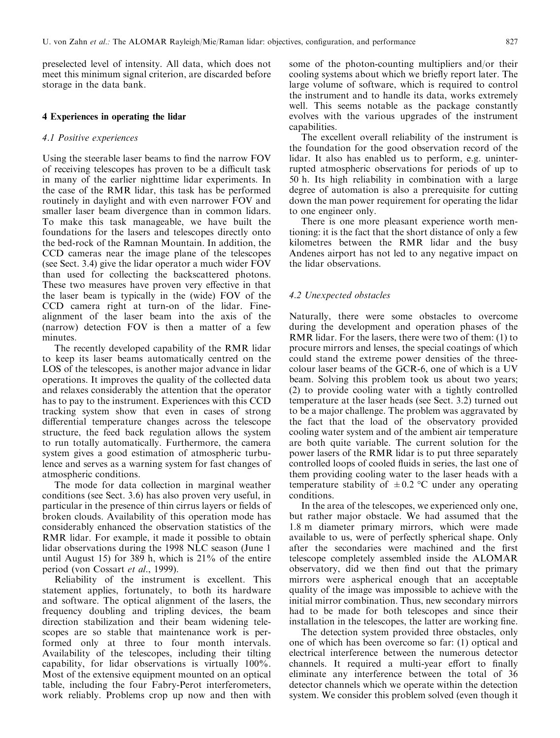preselected level of intensity. All data, which does not meet this minimum signal criterion, are discarded before storage in the data bank.

### 4 Experiences in operating the lidar

### 4.1 Positive experiences

Using the steerable laser beams to find the narrow FOV of receiving telescopes has proven to be a difficult task in many of the earlier nighttime lidar experiments. In the case of the RMR lidar, this task has be performed routinely in daylight and with even narrower FOV and smaller laser beam divergence than in common lidars. To make this task manageable, we have built the foundations for the lasers and telescopes directly onto the bed-rock of the Ramnan Mountain. In addition, the CCD cameras near the image plane of the telescopes (see Sect. 3.4) give the lidar operator a much wider FOV than used for collecting the backscattered photons. These two measures have proven very effective in that the laser beam is typically in the (wide) FOV of the CCD camera right at turn-on of the lidar. Finealignment of the laser beam into the axis of the (narrow) detection FOV is then a matter of a few minutes.

The recently developed capability of the RMR lidar to keep its laser beams automatically centred on the LOS of the telescopes, is another major advance in lidar operations. It improves the quality of the collected data and relaxes considerably the attention that the operator has to pay to the instrument. Experiences with this CCD tracking system show that even in cases of strong differential temperature changes across the telescope structure, the feed back regulation allows the system to run totally automatically. Furthermore, the camera system gives a good estimation of atmospheric turbulence and serves as a warning system for fast changes of atmospheric conditions.

The mode for data collection in marginal weather conditions (see Sect. 3.6) has also proven very useful, in particular in the presence of thin cirrus layers or fields of broken clouds. Availability of this operation mode has considerably enhanced the observation statistics of the RMR lidar. For example, it made it possible to obtain lidar observations during the 1998 NLC season (June 1 until August 15) for 389 h, which is 21% of the entire period (von Cossart et al., 1999).

Reliability of the instrument is excellent. This statement applies, fortunately, to both its hardware and software. The optical alignment of the lasers, the frequency doubling and tripling devices, the beam direction stabilization and their beam widening telescopes are so stable that maintenance work is performed only at three to four month intervals. Availability of the telescopes, including their tilting capability, for lidar observations is virtually 100%. Most of the extensive equipment mounted on an optical table, including the four Fabry-Perot interferometers, work reliably. Problems crop up now and then with

some of the photon-counting multipliers and/or their cooling systems about which we briefly report later. The large volume of software, which is required to control the instrument and to handle its data, works extremely well. This seems notable as the package constantly evolves with the various upgrades of the instrument capabilities.

The excellent overall reliability of the instrument is the foundation for the good observation record of the lidar. It also has enabled us to perform, e.g. uninterrupted atmospheric observations for periods of up to 50 h. Its high reliability in combination with a large degree of automation is also a prerequisite for cutting down the man power requirement for operating the lidar to one engineer only.

There is one more pleasant experience worth mentioning: it is the fact that the short distance of only a few kilometres between the RMR lidar and the busy Andenes airport has not led to any negative impact on the lidar observations.

## 4.2 Unexpected obstacles

Naturally, there were some obstacles to overcome during the development and operation phases of the RMR lidar. For the lasers, there were two of them: (1) to procure mirrors and lenses, the special coatings of which could stand the extreme power densities of the threecolour laser beams of the GCR-6, one of which is a UV beam. Solving this problem took us about two years; (2) to provide cooling water with a tightly controlled temperature at the laser heads (see Sect. 3.2) turned out to be a major challenge. The problem was aggravated by the fact that the load of the observatory provided cooling water system and of the ambient air temperature are both quite variable. The current solution for the power lasers of the RMR lidar is to put three separately controlled loops of cooled fluids in series, the last one of them providing cooling water to the laser heads with a temperature stability of  $\pm 0.2$  °C under any operating conditions.

In the area of the telescopes, we experienced only one, but rather major obstacle. We had assumed that the 1.8 m diameter primary mirrors, which were made available to us, were of perfectly spherical shape. Only after the secondaries were machined and the first telescope completely assembled inside the ALOMAR observatory, did we then find out that the primary mirrors were aspherical enough that an acceptable quality of the image was impossible to achieve with the initial mirror combination. Thus, new secondary mirrors had to be made for both telescopes and since their installation in the telescopes, the latter are working fine.

The detection system provided three obstacles, only one of which has been overcome so far: (1) optical and electrical interference between the numerous detector channels. It required a multi-year effort to finally eliminate any interference between the total of 36 detector channels which we operate within the detection system. We consider this problem solved (even though it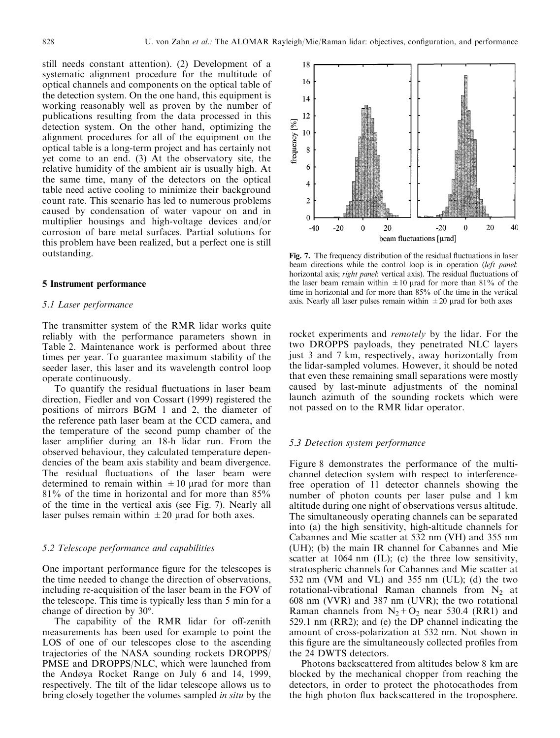still needs constant attention). (2) Development of a systematic alignment procedure for the multitude of optical channels and components on the optical table of the detection system. On the one hand, this equipment is working reasonably well as proven by the number of publications resulting from the data processed in this detection system. On the other hand, optimizing the alignment procedures for all of the equipment on the optical table is a long-term project and has certainly not yet come to an end. (3) At the observatory site, the relative humidity of the ambient air is usually high. At the same time, many of the detectors on the optical table need active cooling to minimize their background count rate. This scenario has led to numerous problems caused by condensation of water vapour on and in multiplier housings and high-voltage devices and/or corrosion of bare metal surfaces. Partial solutions for this problem have been realized, but a perfect one is still outstanding.

#### 5 Instrument performance

## 5.1 Laser performance

The transmitter system of the RMR lidar works quite reliably with the performance parameters shown in Table 2. Maintenance work is performed about three times per year. To guarantee maximum stability of the seeder laser, this laser and its wavelength control loop operate continuously.

To quantify the residual fluctuations in laser beam direction, Fiedler and von Cossart (1999) registered the positions of mirrors BGM 1 and 2, the diameter of the reference path laser beam at the CCD camera, and the temperature of the second pump chamber of the laser amplifier during an 18-h lidar run. From the observed behaviour, they calculated temperature dependencies of the beam axis stability and beam divergence. The residual fluctuations of the laser beam were determined to remain within  $\pm 10$  µrad for more than 81% of the time in horizontal and for more than 85% of the time in the vertical axis (see Fig. 7). Nearly all laser pulses remain within  $\pm 20$  urad for both axes.

#### 5.2 Telescope performance and capabilities

One important performance figure for the telescopes is the time needed to change the direction of observations, including re-acquisition of the laser beam in the FOV of the telescope. This time is typically less than 5 min for a change of direction by 30°.

The capability of the RMR lidar for off-zenith measurements has been used for example to point the LOS of one of our telescopes close to the ascending trajectories of the NASA sounding rockets DROPPS/ PMSE and DROPPS/NLC, which were launched from the Andøya Rocket Range on July 6 and 14, 1999, respectively. The tilt of the lidar telescope allows us to bring closely together the volumes sampled *in situ* by the



Fig. 7. The frequency distribution of the residual fluctuations in laser beam directions while the control loop is in operation (left panel: horizontal axis; right panel: vertical axis). The residual fluctuations of the laser beam remain within  $\pm 10$  urad for more than 81% of the time in horizontal and for more than 85% of the time in the vertical axis. Nearly all laser pulses remain within  $\pm 20$  urad for both axes

rocket experiments and remotely by the lidar. For the two DROPPS payloads, they penetrated NLC layers just 3 and 7 km, respectively, away horizontally from the lidar-sampled volumes. However, it should be noted that even these remaining small separations were mostly caused by last-minute adjustments of the nominal launch azimuth of the sounding rockets which were not passed on to the RMR lidar operator.

### 5.3 Detection system performance

Figure 8 demonstrates the performance of the multichannel detection system with respect to interferencefree operation of 11 detector channels showing the number of photon counts per laser pulse and 1 km altitude during one night of observations versus altitude. The simultaneously operating channels can be separated into (a) the high sensitivity, high-altitude channels for Cabannes and Mie scatter at 532 nm (VH) and 355 nm (UH); (b) the main IR channel for Cabannes and Mie scatter at 1064 nm (IL); (c) the three low sensitivity, stratospheric channels for Cabannes and Mie scatter at 532 nm (VM and VL) and 355 nm (UL); (d) the two rotational-vibrational Raman channels from  $N_2$  at 608 nm (VVR) and 387 nm (UVR); the two rotational Raman channels from  $N_2 + O_2$  near 530.4 (RR1) and 529.1 nm (RR2); and (e) the DP channel indicating the amount of cross-polarization at 532 nm. Not shown in this figure are the simultaneously collected profiles from the 24 DWTS detectors.

Photons backscattered from altitudes below 8 km are blocked by the mechanical chopper from reaching the detectors, in order to protect the photocathodes from the high photon flux backscattered in the troposphere.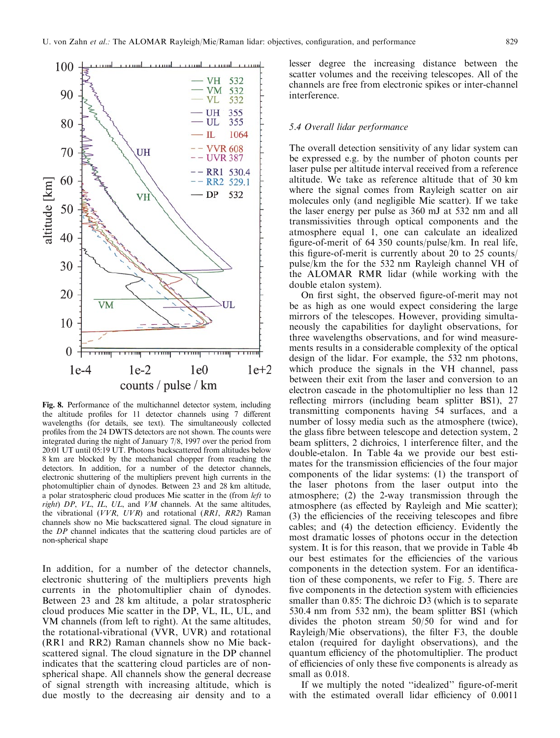

Fig. 8. Performance of the multichannel detector system, including the altitude profiles for 11 detector channels using 7 different wavelengths (for details, see text). The simultaneously collected profiles from the 24 DWTS detectors are not shown. The counts were integrated during the night of January 7/8, 1997 over the period from 20:01 UT until 05:19 UT. Photons backscattered from altitudes below 8 km are blocked by the mechanical chopper from reaching the detectors. In addition, for a number of the detector channels, electronic shuttering of the multipliers prevent high currents in the photomultiplier chain of dynodes. Between 23 and 28 km altitude, a polar stratospheric cloud produces Mie scatter in the (from left to  $right)$   $DP$ ,  $VL$ ,  $IL$ ,  $UL$ , and  $VM$  channels. At the same altitudes, the vibrational (VVR, UVR) and rotational (RR1, RR2) Raman channels show no Mie backscattered signal. The cloud signature in the DP channel indicates that the scattering cloud particles are of non-spherical shape

In addition, for a number of the detector channels, electronic shuttering of the multipliers prevents high currents in the photomultiplier chain of dynodes. Between 23 and 28 km altitude, a polar stratospheric cloud produces Mie scatter in the DP, VL, IL, UL, and VM channels (from left to right). At the same altitudes, the rotational-vibrational (VVR, UVR) and rotational (RR1 and RR2) Raman channels show no Mie backscattered signal. The cloud signature in the DP channel indicates that the scattering cloud particles are of nonspherical shape. All channels show the general decrease of signal strength with increasing altitude, which is due mostly to the decreasing air density and to a lesser degree the increasing distance between the scatter volumes and the receiving telescopes. All of the channels are free from electronic spikes or inter-channel interference.

#### 5.4 Overall lidar performance

The overall detection sensitivity of any lidar system can be expressed e.g. by the number of photon counts per laser pulse per altitude interval received from a reference altitude. We take as reference altitude that of 30 km where the signal comes from Rayleigh scatter on air molecules only (and negligible Mie scatter). If we take the laser energy per pulse as 360 mJ at 532 nm and all transmissivities through optical components and the atmosphere equal 1, one can calculate an idealized figure-of-merit of 64 350 counts/pulse/km. In real life, this figure-of-merit is currently about 20 to 25 counts/ pulse/km the for the 532 nm Rayleigh channel VH of the ALOMAR RMR lidar (while working with the double etalon system).

On first sight, the observed figure-of-merit may not be as high as one would expect considering the large mirrors of the telescopes. However, providing simultaneously the capabilities for daylight observations, for three wavelengths observations, and for wind measurements results in a considerable complexity of the optical design of the lidar. For example, the 532 nm photons, which produce the signals in the VH channel, pass between their exit from the laser and conversion to an electron cascade in the photomultiplier no less than 12 reflecting mirrors (including beam splitter BS1), 27 transmitting components having 54 surfaces, and a number of lossy media such as the atmosphere (twice), the glass fibre between telescope and detection system, 2 beam splitters, 2 dichroics, 1 interference filter, and the double-etalon. In Table 4a we provide our best estimates for the transmission efficiencies of the four major components of the lidar systems: (1) the transport of the laser photons from the laser output into the atmosphere; (2) the 2-way transmission through the atmosphere (as effected by Rayleigh and Mie scatter);  $(3)$  the efficiencies of the receiving telescopes and fibre cables; and (4) the detection efficiency. Evidently the most dramatic losses of photons occur in the detection system. It is for this reason, that we provide in Table 4b our best estimates for the efficiencies of the various components in the detection system. For an identification of these components, we refer to Fig. 5. There are five components in the detection system with efficiencies smaller than 0.85: The dichroic D3 (which is to separate 530.4 nm from 532 nm), the beam splitter BS1 (which divides the photon stream 50/50 for wind and for Rayleigh/Mie observations), the filter  $F3$ , the double etalon (required for daylight observations), and the quantum efficiency of the photomultiplier. The product of efficiencies of only these five components is already as small as 0.018.

If we multiply the noted "idealized" figure-of-merit with the estimated overall lidar efficiency of 0.0011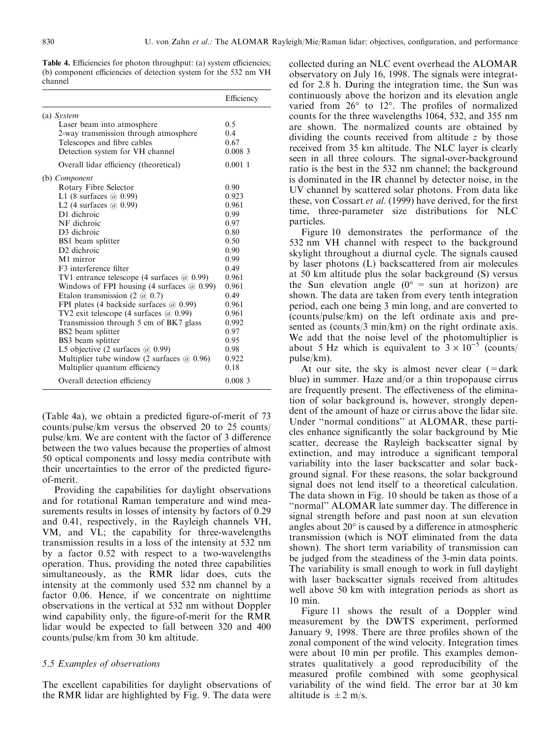Table 4. Efficiencies for photon throughput: (a) system efficiencies; (b) component efficiencies of detection system for the 532 nm VH channel

|                                                       | Efficiency |
|-------------------------------------------------------|------------|
| (a) System                                            |            |
| Laser beam into atmosphere                            | 0.5        |
| 2-way transmission through atmosphere                 | 0.4        |
| Telescopes and fibre cables                           | 0.67       |
| Detection system for VH channel                       | 0.0083     |
| Overall lidar efficiency (theoretical)                | 0.0011     |
| (b) Component                                         |            |
| Rotary Fibre Selector                                 | 0.90       |
| L1 (8 surfaces $\omega$ 0.99)                         | 0.923      |
| L2 (4 surfaces $(a)$ 0.99)                            | 0.961      |
| D1 dichroic                                           | 0.99       |
| NF dichroic                                           | 0.97       |
| D3 dichroic                                           | 0.80       |
| BS1 beam splitter                                     | 0.50       |
| D <sub>2</sub> dichroic                               | 0.90       |
| M1 mirror                                             | 0.99       |
| F <sub>3</sub> interference filter                    | 0.49       |
| TV1 entrance telescope (4 surfaces $(a)$ 0.99)        | 0.961      |
| Windows of FPI housing $(4 \text{ surfaces } @ 0.99)$ | 0.961      |
| Etalon transmission $(2 \text{ } @ 0.7)$              | 0.49       |
| FPI plates (4 backside surfaces $(a)$ 0.99)           | 0.961      |
| TV2 exit telescope (4 surfaces @ 0.99)                | 0.961      |
| Transmission through 5 cm of BK7 glass                | 0.992      |
| BS2 beam splitter                                     | 0.97       |
| BS3 beam splitter                                     | 0.95       |
| L5 objective $(2 \text{ surfaces } (a) 0.99)$         | 0.98       |
| Multiplier tube window (2 surfaces $(2, 0.96)$ )      | 0.922      |
| Multiplier quantum efficiency                         | 0.18       |
| Overall detection efficiency                          | 0.0083     |
|                                                       |            |

(Table 4a), we obtain a predicted figure-of-merit of  $73$ counts/pulse/km versus the observed 20 to 25 counts/ pulse/km. We are content with the factor of  $\beta$  difference between the two values because the properties of almost 50 optical components and lossy media contribute with their uncertainties to the error of the predicted figureof-merit.

Providing the capabilities for daylight observations and for rotational Raman temperature and wind measurements results in losses of intensity by factors of 0.29 and 0.41, respectively, in the Rayleigh channels VH, VM, and VL; the capability for three-wavelengths transmission results in a loss of the intensity at 532 nm by a factor 0.52 with respect to a two-wavelengths operation. Thus, providing the noted three capabilities simultaneously, as the RMR lidar does, cuts the intensity at the commonly used 532 nm channel by a factor 0.06. Hence, if we concentrate on nighttime observations in the vertical at 532 nm without Doppler wind capability only, the figure-of-merit for the RMR lidar would be expected to fall between 320 and 400 counts/pulse/km from 30 km altitude.

#### 5.5 Examples of observations

The excellent capabilities for daylight observations of the RMR lidar are highlighted by Fig. 9. The data were

collected during an NLC event overhead the ALOMAR observatory on July 16, 1998. The signals were integrated for 2.8 h. During the integration time, the Sun was continuously above the horizon and its elevation angle varied from  $26^{\circ}$  to  $12^{\circ}$ . The profiles of normalized counts for the three wavelengths 1064, 532, and 355 nm are shown. The normalized counts are obtained by dividing the counts received from altitude z by those received from 35 km altitude. The NLC layer is clearly seen in all three colours. The signal-over-background ratio is the best in the 532 nm channel; the background is dominated in the IR channel by detector noise, in the UV channel by scattered solar photons. From data like these, von Cossart et al. (1999) have derived, for the first time, three-parameter size distributions for NLC particles.

Figure 10 demonstrates the performance of the 532 nm VH channel with respect to the background skylight throughout a diurnal cycle. The signals caused by laser photons (L) backscattered from air molecules at 50 km altitude plus the solar background (S) versus the Sun elevation angle  $(0^{\circ} = \text{sun at horizon})$  are shown. The data are taken from every tenth integration period, each one being 3 min long, and are converted to (counts/pulse/km) on the left ordinate axis and presented as (counts/3 min/km) on the right ordinate axis. We add that the noise level of the photomultiplier is about 5 Hz which is equivalent to  $3 \times 10^{-5}$  (counts) pulse/km).

At our site, the sky is almost never clear  $(=\text{dark}$ blue) in summer. Haze and/or a thin tropopause cirrus are frequently present. The effectiveness of the elimination of solar background is, however, strongly dependent of the amount of haze or cirrus above the lidar site. Under "normal conditions" at ALOMAR, these particles enhance significantly the solar background by Mie scatter, decrease the Rayleigh backscatter signal by extinction, and may introduce a significant temporal variability into the laser backscatter and solar background signal. For these reasons, the solar background signal does not lend itself to a theoretical calculation. The data shown in Fig. 10 should be taken as those of a "normal" ALOMAR late summer day. The difference in signal strength before and past noon at sun elevation angles about  $20^{\circ}$  is caused by a difference in atmospheric transmission (which is NOT eliminated from the data shown). The short term variability of transmission can be judged from the steadiness of the 3-min data points. The variability is small enough to work in full daylight with laser backscatter signals received from altitudes well above 50 km with integration periods as short as 10 min.

Figure 11 shows the result of a Doppler wind measurement by the DWTS experiment, performed January 9, 1998. There are three profiles shown of the zonal component of the wind velocity. Integration times were about 10 min per profile. This examples demonstrates qualitatively a good reproducibility of the measured profile combined with some geophysical variability of the wind field. The error bar at 30 km altitude is  $\pm 2$  m/s.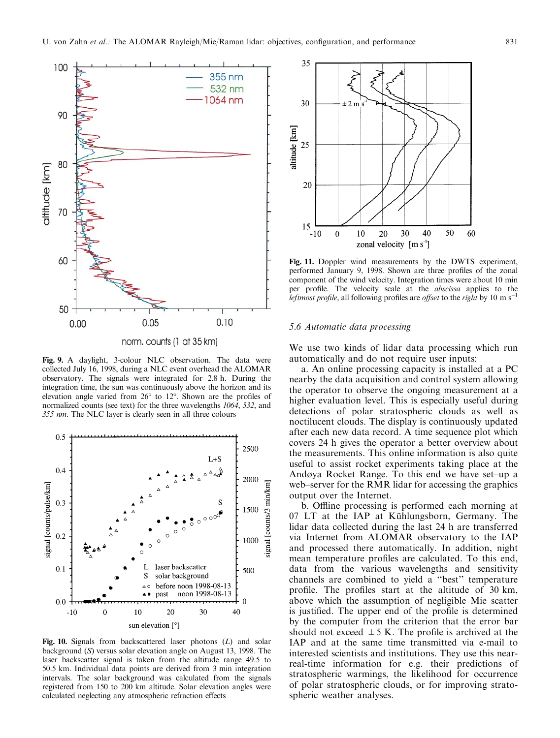

Fig. 9. A daylight, 3-colour NLC observation. The data were collected July 16, 1998, during a NLC event overhead the ALOMAR observatory. The signals were integrated for 2.8 h. During the integration time, the sun was continuously above the horizon and its elevation angle varied from  $26^{\circ}$  to  $12^{\circ}$ . Shown are the profiles of normalized counts (see text) for the three wavelengths 1064, 532, and 355 nm. The NLC layer is clearly seen in all three colours



Fig. 10. Signals from backscattered laser photons  $(L)$  and solar background (S) versus solar elevation angle on August 13, 1998. The laser backscatter signal is taken from the altitude range 49.5 to 50.5 km. Individual data points are derived from 3 min integration intervals. The solar background was calculated from the signals registered from 150 to 200 km altitude. Solar elevation angles were calculated neglecting any atmospheric refraction effects



Fig. 11. Doppler wind measurements by the DWTS experiment, performed January 9, 1998. Shown are three profiles of the zonal component of the wind velocity. Integration times were about 10 min per profile. The velocity scale at the *abscissa* applies to the *leftmost profile*, all following profiles are *offset* to the right by 10 m s<sup>-1</sup>

### 5.6 Automatic data processing

We use two kinds of lidar data processing which run automatically and do not require user inputs:

a. An online processing capacity is installed at a PC nearby the data acquisition and control system allowing the operator to observe the ongoing measurement at a higher evaluation level. This is especially useful during detections of polar stratospheric clouds as well as noctilucent clouds. The display is continuously updated after each new data record. A time sequence plot which covers 24 h gives the operator a better overview about the measurements. This online information is also quite useful to assist rocket experiments taking place at the Andøya Rocket Range. To this end we have set-up a web–server for the RMR lidar for accessing the graphics output over the Internet.

b. Offline processing is performed each morning at 07 LT at the IAP at Kühlungsborn, Germany. The lidar data collected during the last 24 h are transferred via Internet from ALOMAR observatory to the IAP and processed there automatically. In addition, night mean temperature profiles are calculated. To this end, data from the various wavelengths and sensitivity channels are combined to yield a "best" temperature profile. The profiles start at the altitude of 30 km, above which the assumption of negligible Mie scatter is justified. The upper end of the profile is determined by the computer from the criterion that the error bar should not exceed  $\pm$  5 K. The profile is archived at the IAP and at the same time transmitted via e-mail to interested scientists and institutions. They use this nearreal-time information for e.g. their predictions of stratospheric warmings, the likelihood for occurrence of polar stratospheric clouds, or for improving stratospheric weather analyses.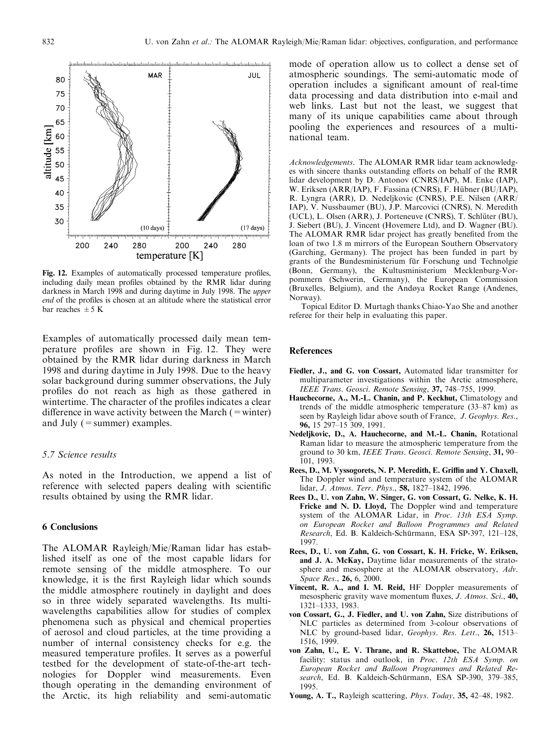

Fig. 12. Examples of automatically processed temperature profiles, including daily mean profiles obtained by the RMR lidar during darkness in March 1998 and during daytime in July 1998. The upper end of the profiles is chosen at an altitude where the statistical error bar reaches  $\pm$  5 K

Examples of automatically processed daily mean temperature profiles are shown in Fig. 12. They were obtained by the RMR lidar during darkness in March 1998 and during daytime in July 1998. Due to the heavy solar background during summer observations, the July profiles do not reach as high as those gathered in wintertime. The character of the profiles indicates a clear difference in wave activity between the March  $($  = winter) and July (=summer) examples.

## 5.7 Science results

As noted in the Introduction, we append a list of reference with selected papers dealing with scientific results obtained by using the RMR lidar.

# 6 Conclusions

The ALOMAR Rayleigh/Mie/Raman lidar has established itself as one of the most capable lidars for remote sensing of the middle atmosphere. To our knowledge, it is the first Rayleigh lidar which sounds the middle atmosphere routinely in daylight and does so in three widely separated wavelengths. Its multiwavelengths capabilities allow for studies of complex phenomena such as physical and chemical properties of aerosol and cloud particles, at the time providing a number of internal consistency checks for e.g. the measured temperature profiles. It serves as a powerful testbed for the development of state-of-the-art technologies for Doppler wind measurements. Even though operating in the demanding environment of the Arctic, its high reliability and semi-automatic

mode of operation allow us to collect a dense set of atmospheric soundings. The semi-automatic mode of operation includes a significant amount of real-time data processing and data distribution into e-mail and web links. Last but not the least, we suggest that many of its unique capabilities came about through pooling the experiences and resources of a multinational team.

Acknowledgements. The ALOMAR RMR lidar team acknowledges with sincere thanks outstanding efforts on behalf of the RMR lidar development by D. Antonov (CNRS/IAP), M. Enke (IAP), W. Eriksen (ARR/IAP), F. Fassina (CNRS), F. Hübner (BU/IAP), R. Lyngra (ARR), D. Nedeljkovic (CNRS), P.E. Nilsen (ARR/ IAP), V. Nussbaumer (BU), J.P. Marcovici (CNRS), N. Meredith (UCL), L. Olsen (ARR), J. Porteneuve (CNRS), T. Schlüter (BU), J. Siebert (BU), J. Vincent (Hovemere Ltd), and D. Wagner (BU). The ALOMAR RMR lidar project has greatly benefited from the loan of two 1.8 m mirrors of the European Southern Observatory (Garching, Germany). The project has been funded in part by grants of the Bundesministerium für Forschung und Technolgie (Bonn, Germany), the Kultusministerium Mecklenburg-Vorpommern (Schwerin, Germany), the European Commission (Bruxelles, Belgium), and the Andùya Rocket Range (Andenes, Norway).

Topical Editor D. Murtagh thanks Chiao-Yao She and another referee for their help in evaluating this paper.

#### References

- Fiedler, J., and G. von Cossart, Automated lidar transmitter for multiparameter investigations within the Arctic atmosphere, IEEE Trans. Geosci. Remote Sensing, 37, 748-755, 1999.
- Hauchecorne, A., M.-L. Chanin, and P. Keckhut, Climatology and trends of the middle atmospheric temperature  $(33-87 \text{ km})$  as seen by Rayleigh lidar above south of France, J. Geophys. Res., 96, 15 297-15 309, 1991.
- Nedeljkovic, D., A. Hauchecorne, and M.-L. Chanin, Rotational Raman lidar to measure the atmospheric temperature from the ground to 30 km, IEEE Trans. Geosci. Remote Sensing, 31, 90-101, 1993.
- Rees, D., M. Vyssogorets, N. P. Meredith, E. Griffin and Y. Chaxell, The Doppler wind and temperature system of the ALOMAR lidar, J. Atmos. Terr. Phys., 58, 1827-1842, 1996.
- Rees D., U. von Zahn, W. Singer, G. von Cossart, G. Nelke, K. H. Fricke and N. D. Lloyd, The Doppler wind and temperature system of the ALOMAR Lidar, in Proc. 13th ESA Symp. on European Rocket and Balloon Programmes and Related Research, Ed. B. Kaldeich-Schürmann, ESA SP-397, 121-128, 1997.
- Rees, D., U. von Zahn, G. von Cossart, K. H. Fricke, W. Eriksen, and J. A. McKay, Daytime lidar measurements of the stratosphere and mesosphere at the ALOMAR observatory, Adv. Space Res., 26, 6, 2000.
- Vincent, R. A., and I. M. Reid, HF Doppler measurements of mesospheric gravity wave momentum fluxes, J. Atmos. Sci., 40, 1321±1333, 1983.
- von Cossart, G., J. Fiedler, and U. von Zahn, Size distributions of NLC particles as determined from 3-colour observations of NLC by ground-based lidar, Geophys. Res. Lett., 26, 1513-1516, 1999.
- von Zahn, U., E. V. Thrane, and R. Skatteboe, The ALOMAR facility: status and outlook, in Proc. 12th ESA Symp. on European Rocket and Balloon Programmes and Related Research, Ed. B. Kaldeich-Schürmann, ESA SP-390, 379-385, 1995.
- Young, A. T., Rayleigh scattering, *Phys. Today*, 35, 42–48, 1982.